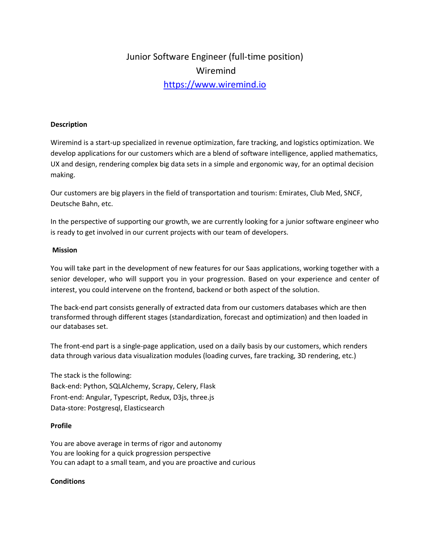# Junior Software Engineer (full-time position) Wiremind [https://www.wiremind.io](https://www.wiremind.io/)

### **Description**

Wiremind is a start-up specialized in revenue optimization, fare tracking, and logistics optimization. We develop applications for our customers which are a blend of software intelligence, applied mathematics, UX and design, rendering complex big data sets in a simple and ergonomic way, for an optimal decision making.

Our customers are big players in the field of transportation and tourism: Emirates, Club Med, SNCF, Deutsche Bahn, etc.

In the perspective of supporting our growth, we are currently looking for a junior software engineer who is ready to get involved in our current projects with our team of developers.

#### **Mission**

You will take part in the development of new features for our Saas applications, working together with a senior developer, who will support you in your progression. Based on your experience and center of interest, you could intervene on the frontend, backend or both aspect of the solution.

The back-end part consists generally of extracted data from our customers databases which are then transformed through different stages (standardization, forecast and optimization) and then loaded in our databases set.

The front-end part is a single-page application, used on a daily basis by our customers, which renders data through various data visualization modules (loading curves, fare tracking, 3D rendering, etc.)

The stack is the following: Back-end: Python, SQLAlchemy, Scrapy, Celery, Flask Front-end: Angular, Typescript, Redux, D3js, three.js Data-store: Postgresql, Elasticsearch

## **Profile**

You are above average in terms of rigor and autonomy You are looking for a quick progression perspective You can adapt to a small team, and you are proactive and curious

## **Conditions**